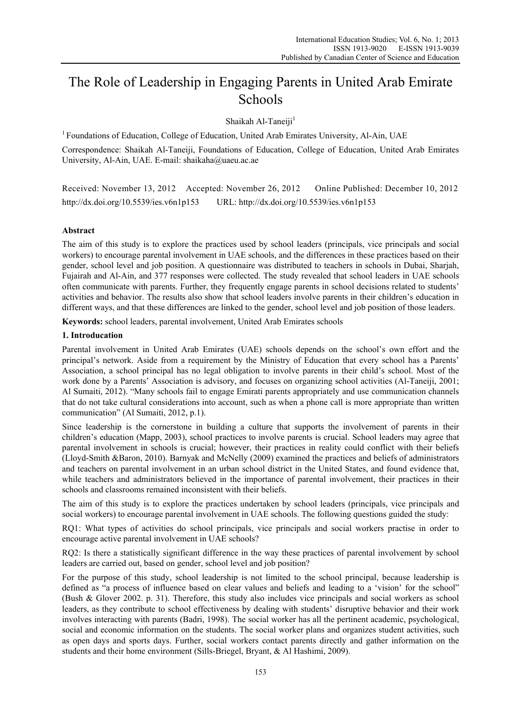# The Role of Leadership in Engaging Parents in United Arab Emirate Schools

Shaikah Al-Taneiji<sup>1</sup>

<sup>1</sup> Foundations of Education, College of Education, United Arab Emirates University, Al-Ain, UAE

Correspondence: Shaikah Al-Taneiji, Foundations of Education, College of Education, United Arab Emirates University, Al-Ain, UAE. E-mail: shaikaha@uaeu.ac.ae

Received: November 13, 2012 Accepted: November 26, 2012 Online Published: December 10, 2012 http://dx.doi.org/10.5539/ies.v6n1p153 URL: http://dx.doi.org/10.5539/ies.v6n1p153

# **Abstract**

The aim of this study is to explore the practices used by school leaders (principals, vice principals and social workers) to encourage parental involvement in UAE schools, and the differences in these practices based on their gender, school level and job position. A questionnaire was distributed to teachers in schools in Dubai, Sharjah, Fujairah and Al-Ain, and 377 responses were collected. The study revealed that school leaders in UAE schools often communicate with parents. Further, they frequently engage parents in school decisions related to students' activities and behavior. The results also show that school leaders involve parents in their children's education in different ways, and that these differences are linked to the gender, school level and job position of those leaders.

**Keywords:** school leaders, parental involvement, United Arab Emirates schools

# **1. Introducation**

Parental involvement in United Arab Emirates (UAE) schools depends on the school's own effort and the principal's network. Aside from a requirement by the Ministry of Education that every school has a Parents' Association, a school principal has no legal obligation to involve parents in their child's school. Most of the work done by a Parents' Association is advisory, and focuses on organizing school activities (Al-Taneiji, 2001; Al Sumaiti, 2012). "Many schools fail to engage Emirati parents appropriately and use communication channels that do not take cultural considerations into account, such as when a phone call is more appropriate than written communication" (Al Sumaiti, 2012, p.1).

Since leadership is the cornerstone in building a culture that supports the involvement of parents in their children's education (Mapp, 2003), school practices to involve parents is crucial. School leaders may agree that parental involvement in schools is crucial; however, their practices in reality could conflict with their beliefs (Lloyd-Smith &Baron, 2010). Barnyak and McNelly (2009) examined the practices and beliefs of administrators and teachers on parental involvement in an urban school district in the United States, and found evidence that, while teachers and administrators believed in the importance of parental involvement, their practices in their schools and classrooms remained inconsistent with their beliefs.

The aim of this study is to explore the practices undertaken by school leaders (principals, vice principals and social workers) to encourage parental involvement in UAE schools. The following questions guided the study:

RQ1: What types of activities do school principals, vice principals and social workers practise in order to encourage active parental involvement in UAE schools?

RQ2: Is there a statistically significant difference in the way these practices of parental involvement by school leaders are carried out, based on gender, school level and job position?

For the purpose of this study, school leadership is not limited to the school principal, because leadership is defined as "a process of influence based on clear values and beliefs and leading to a 'vision' for the school" (Bush & Glover 2002. p. 31). Therefore, this study also includes vice principals and social workers as school leaders, as they contribute to school effectiveness by dealing with students' disruptive behavior and their work involves interacting with parents (Badri, 1998). The social worker has all the pertinent academic, psychological, social and economic information on the students. The social worker plans and organizes student activities, such as open days and sports days. Further, social workers contact parents directly and gather information on the students and their home environment (Sills-Briegel, Bryant, & Al Hashimi, 2009).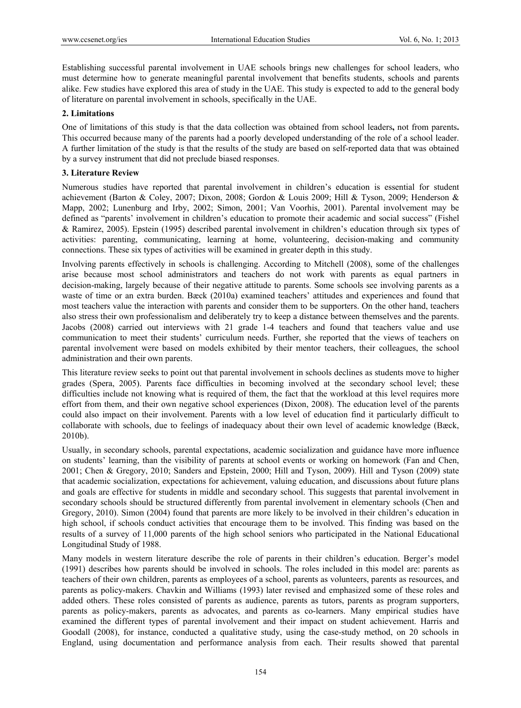Establishing successful parental involvement in UAE schools brings new challenges for school leaders, who must determine how to generate meaningful parental involvement that benefits students, schools and parents alike. Few studies have explored this area of study in the UAE. This study is expected to add to the general body of literature on parental involvement in schools, specifically in the UAE.

#### **2. Limitations**

One of limitations of this study is that the data collection was obtained from school leaders**,** not from parents**.**  This occurred because many of the parents had a poorly developed understanding of the role of a school leader. A further limitation of the study is that the results of the study are based on self-reported data that was obtained by a survey instrument that did not preclude biased responses.

#### **3. Literature Review**

Numerous studies have reported that parental involvement in children's education is essential for student achievement (Barton & Coley, 2007; Dixon, 2008; Gordon & Louis 2009; Hill & Tyson, 2009; Henderson & Mapp, 2002; Lunenburg and Irby, 2002; Simon, 2001; Van Voorhis, 2001). Parental involvement may be defined as "parents' involvement in children's education to promote their academic and social success" (Fishel & Ramirez, 2005). Epstein (1995) described parental involvement in children's education through six types of activities: parenting, communicating, learning at home, volunteering, decision-making and community connections. These six types of activities will be examined in greater depth in this study.

Involving parents effectively in schools is challenging. According to Mitchell (2008), some of the challenges arise because most school administrators and teachers do not work with parents as equal partners in decision-making, largely because of their negative attitude to parents. Some schools see involving parents as a waste of time or an extra burden. Bæck (2010a) examined teachers' attitudes and experiences and found that most teachers value the interaction with parents and consider them to be supporters. On the other hand, teachers also stress their own professionalism and deliberately try to keep a distance between themselves and the parents. Jacobs (2008) carried out interviews with 21 grade 1-4 teachers and found that teachers value and use communication to meet their students' curriculum needs. Further, she reported that the views of teachers on parental involvement were based on models exhibited by their mentor teachers, their colleagues, the school administration and their own parents.

This literature review seeks to point out that parental involvement in schools declines as students move to higher grades (Spera, 2005). Parents face difficulties in becoming involved at the secondary school level; these difficulties include not knowing what is required of them, the fact that the workload at this level requires more effort from them, and their own negative school experiences (Dixon, 2008). The education level of the parents could also impact on their involvement. Parents with a low level of education find it particularly difficult to collaborate with schools, due to feelings of inadequacy about their own level of academic knowledge (Bæck, 2010b).

Usually, in secondary schools, parental expectations, academic socialization and guidance have more influence on students' learning, than the visibility of parents at school events or working on homework (Fan and Chen, 2001; Chen & Gregory, 2010; Sanders and Epstein, 2000; Hill and Tyson, 2009). Hill and Tyson (2009) state that academic socialization, expectations for achievement, valuing education, and discussions about future plans and goals are effective for students in middle and secondary school. This suggests that parental involvement in secondary schools should be structured differently from parental involvement in elementary schools (Chen and Gregory, 2010). Simon (2004) found that parents are more likely to be involved in their children's education in high school, if schools conduct activities that encourage them to be involved. This finding was based on the results of a survey of 11,000 parents of the high school seniors who participated in the National Educational Longitudinal Study of 1988.

Many models in western literature describe the role of parents in their children's education. Berger's model (1991) describes how parents should be involved in schools. The roles included in this model are: parents as teachers of their own children, parents as employees of a school, parents as volunteers, parents as resources, and parents as policy-makers. Chavkin and Williams (1993) later revised and emphasized some of these roles and added others. These roles consisted of parents as audience, parents as tutors, parents as program supporters, parents as policy-makers, parents as advocates, and parents as co-learners. Many empirical studies have examined the different types of parental involvement and their impact on student achievement. Harris and Goodall (2008), for instance, conducted a qualitative study, using the case-study method, on 20 schools in England, using documentation and performance analysis from each. Their results showed that parental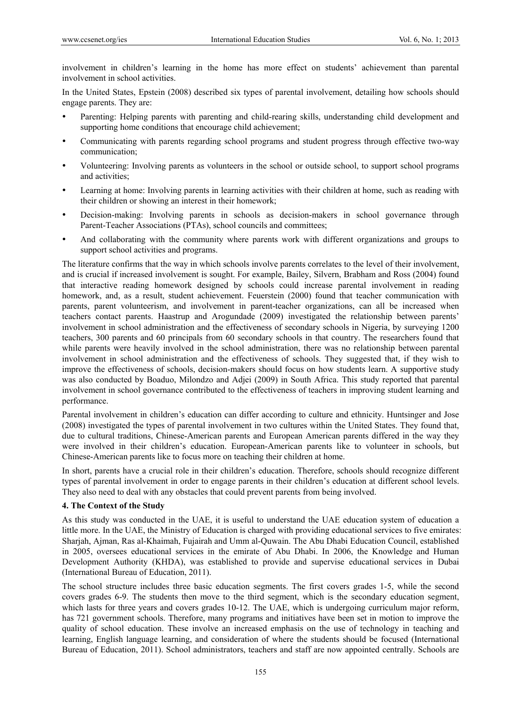involvement in children's learning in the home has more effect on students' achievement than parental involvement in school activities.

In the United States, Epstein (2008) described six types of parental involvement, detailing how schools should engage parents. They are:

- Parenting: Helping parents with parenting and child-rearing skills, understanding child development and supporting home conditions that encourage child achievement;
- Communicating with parents regarding school programs and student progress through effective two-way communication;
- Volunteering: Involving parents as volunteers in the school or outside school, to support school programs and activities;
- Learning at home: Involving parents in learning activities with their children at home, such as reading with their children or showing an interest in their homework;
- Decision-making: Involving parents in schools as decision-makers in school governance through Parent-Teacher Associations (PTAs), school councils and committees;
- And collaborating with the community where parents work with different organizations and groups to support school activities and programs.

The literature confirms that the way in which schools involve parents correlates to the level of their involvement, and is crucial if increased involvement is sought. For example, Bailey, Silvern, Brabham and Ross (2004) found that interactive reading homework designed by schools could increase parental involvement in reading homework, and, as a result, student achievement. Feuerstein (2000) found that teacher communication with parents, parent volunteerism, and involvement in parent-teacher organizations, can all be increased when teachers contact parents. Haastrup and Arogundade (2009) investigated the relationship between parents' involvement in school administration and the effectiveness of secondary schools in Nigeria, by surveying 1200 teachers, 300 parents and 60 principals from 60 secondary schools in that country. The researchers found that while parents were heavily involved in the school administration, there was no relationship between parental involvement in school administration and the effectiveness of schools. They suggested that, if they wish to improve the effectiveness of schools, decision-makers should focus on how students learn. A supportive study was also conducted by Boaduo, Milondzo and Adjei (2009) in South Africa. This study reported that parental involvement in school governance contributed to the effectiveness of teachers in improving student learning and performance.

Parental involvement in children's education can differ according to culture and ethnicity. Huntsinger and Jose (2008) investigated the types of parental involvement in two cultures within the United States. They found that, due to cultural traditions, Chinese-American parents and European American parents differed in the way they were involved in their children's education. European-American parents like to volunteer in schools, but Chinese-American parents like to focus more on teaching their children at home.

In short, parents have a crucial role in their children's education. Therefore, schools should recognize different types of parental involvement in order to engage parents in their children's education at different school levels. They also need to deal with any obstacles that could prevent parents from being involved.

#### **4. The Context of the Study**

As this study was conducted in the UAE, it is useful to understand the UAE education system of education a little more. In the UAE, the Ministry of Education is charged with providing educational services to five emirates: Sharjah, Ajman, Ras al-Khaimah, Fujairah and Umm al-Quwain. The Abu Dhabi Education Council, established in 2005, oversees educational services in the emirate of Abu Dhabi. In 2006, the Knowledge and Human Development Authority (KHDA), was established to provide and supervise educational services in Dubai (International Bureau of Education, 2011).

The school structure includes three basic education segments. The first covers grades 1-5, while the second covers grades 6-9. The students then move to the third segment, which is the secondary education segment, which lasts for three years and covers grades 10-12. The UAE, which is undergoing curriculum major reform, has 721 government schools. Therefore, many programs and initiatives have been set in motion to improve the quality of school education. These involve an increased emphasis on the use of technology in teaching and learning, English language learning, and consideration of where the students should be focused (International Bureau of Education, 2011). School administrators, teachers and staff are now appointed centrally. Schools are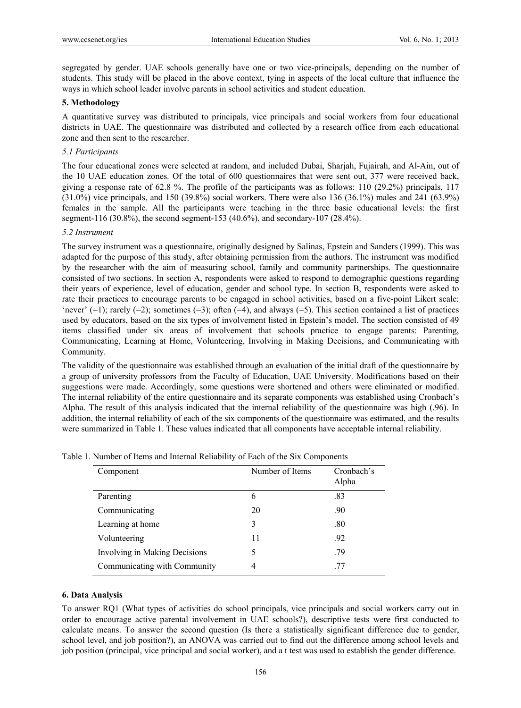segregated by gender. UAE schools generally have one or two vice-principals, depending on the number of students. This study will be placed in the above context, tying in aspects of the local culture that influence the ways in which school leader involve parents in school activities and student education.

# **5. Methodology**

A quantitative survey was distributed to principals, vice principals and social workers from four educational districts in UAE. The questionnaire was distributed and collected by a research office from each educational zone and then sent to the researcher.

# *5.1 Participants*

The four educational zones were selected at random, and included Dubai, Sharjah, Fujairah, and Al-Ain, out of the 10 UAE education zones. Of the total of 600 questionnaires that were sent out, 377 were received back, giving a response rate of 62.8 %. The profile of the participants was as follows: 110 (29.2%) principals, 117 (31.0%) vice principals, and 150 (39.8%) social workers. There were also 136 (36.1%) males and 241 (63.9%) females in the sample. All the participants were teaching in the three basic educational levels: the first segment-116 (30.8%), the second segment-153 (40.6%), and secondary-107 (28.4%).

#### *5.2 Instrument*

The survey instrument was a questionnaire, originally designed by Salinas, Epstein and Sanders (1999). This was adapted for the purpose of this study, after obtaining permission from the authors. The instrument was modified by the researcher with the aim of measuring school, family and community partnerships. The questionnaire consisted of two sections. In section A, respondents were asked to respond to demographic questions regarding their years of experience, level of education, gender and school type. In section B, respondents were asked to rate their practices to encourage parents to be engaged in school activities, based on a five-point Likert scale: 'never' (=1); rarely (=2); sometimes (=3); often (=4), and always (=5). This section contained a list of practices used by educators, based on the six types of involvement listed in Epstein's model. The section consisted of 49 items classified under six areas of involvement that schools practice to engage parents: Parenting, Communicating, Learning at Home, Volunteering, Involving in Making Decisions, and Communicating with Community.

The validity of the questionnaire was established through an evaluation of the initial draft of the questionnaire by a group of university professors from the Faculty of Education, UAE University. Modifications based on their suggestions were made. Accordingly, some questions were shortened and others were eliminated or modified. The internal reliability of the entire questionnaire and its separate components was established using Cronbach's Alpha. The result of this analysis indicated that the internal reliability of the questionnaire was high (.96). In addition, the internal reliability of each of the six components of the questionnaire was estimated, and the results were summarized in Table 1. These values indicated that all components have acceptable internal reliability.

| Component                     | Number of Items | Cronbach's<br>Alpha |
|-------------------------------|-----------------|---------------------|
| Parenting                     | 6               | .83                 |
| Communicating                 | 20              | .90                 |
| Learning at home              | 3               | .80                 |
| Volunteering                  | 11              | .92                 |
| Involving in Making Decisions | 5               | .79                 |
| Communicating with Community  |                 | .77                 |

Table 1. Number of Items and Internal Reliability of Each of the Six Components

# **6. Data Analysis**

To answer RQ1 (What types of activities do school principals, vice principals and social workers carry out in order to encourage active parental involvement in UAE schools?), descriptive tests were first conducted to calculate means. To answer the second question (Is there a statistically significant difference due to gender, school level, and job position?), an ANOVA was carried out to find out the difference among school levels and job position (principal, vice principal and social worker), and a t test was used to establish the gender difference.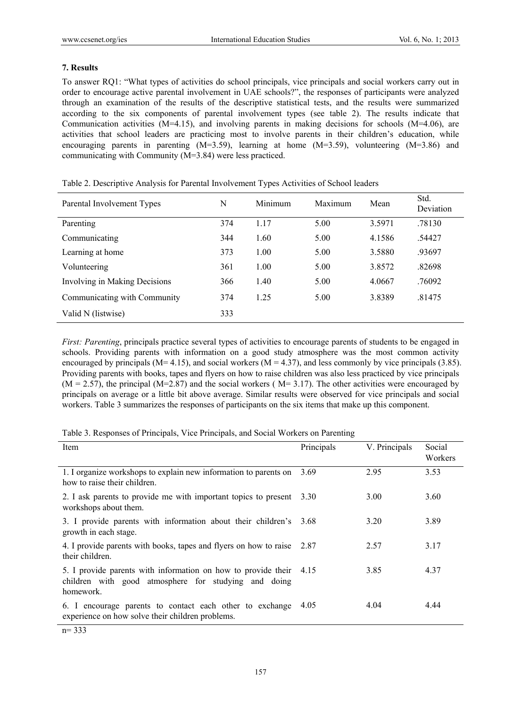#### **7. Results**

To answer RQ1: "What types of activities do school principals, vice principals and social workers carry out in order to encourage active parental involvement in UAE schools?", the responses of participants were analyzed through an examination of the results of the descriptive statistical tests, and the results were summarized according to the six components of parental involvement types (see table 2). The results indicate that Communication activities  $(M=4.15)$ , and involving parents in making decisions for schools  $(M=4.06)$ , are activities that school leaders are practicing most to involve parents in their children's education, while encouraging parents in parenting  $(M=3.59)$ , learning at home  $(M=3.59)$ , volunteering  $(M=3.86)$  and communicating with Community (M=3.84) were less practiced.

| Parental Involvement Types    | N   | Minimum | Maximum | Mean   | Std.<br>Deviation |
|-------------------------------|-----|---------|---------|--------|-------------------|
| Parenting                     | 374 | 1.17    | 5.00    | 3.5971 | .78130            |
| Communicating                 | 344 | 1.60    | 5.00    | 4.1586 | .54427            |
| Learning at home              | 373 | 1.00    | 5.00    | 3.5880 | .93697            |
| Volunteering                  | 361 | 1.00    | 5.00    | 3.8572 | .82698            |
| Involving in Making Decisions | 366 | 1.40    | 5.00    | 4.0667 | .76092            |
| Communicating with Community  | 374 | 1.25    | 5.00    | 3.8389 | .81475            |
| Valid N (listwise)            | 333 |         |         |        |                   |

Table 2. Descriptive Analysis for Parental Involvement Types Activities of School leaders

*First: Parenting*, principals practice several types of activities to encourage parents of students to be engaged in schools. Providing parents with information on a good study atmosphere was the most common activity encouraged by principals ( $M=4.15$ ), and social workers ( $M=4.37$ ), and less commonly by vice principals (3.85). Providing parents with books, tapes and flyers on how to raise children was also less practiced by vice principals  $(M = 2.57)$ , the principal  $(M=2.87)$  and the social workers ( $M=3.17$ ). The other activities were encouraged by principals on average or a little bit above average. Similar results were observed for vice principals and social workers. Table 3 summarizes the responses of participants on the six items that make up this component.

|  | Table 3. Responses of Principals, Vice Principals, and Social Workers on Parenting |  |  |
|--|------------------------------------------------------------------------------------|--|--|
|  |                                                                                    |  |  |

| Item                                                                                                                                    | Principals | V. Principals | Social<br>Workers |
|-----------------------------------------------------------------------------------------------------------------------------------------|------------|---------------|-------------------|
| 1. I organize workshops to explain new information to parents on<br>how to raise their children.                                        | 3.69       | 2.95          | 3.53              |
| 2. I ask parents to provide me with important topics to present<br>workshops about them.                                                | 3.30       | 3.00          | 3.60              |
| 3. I provide parents with information about their children's 3.68<br>growth in each stage.                                              |            | 3.20          | 3.89              |
| 4. I provide parents with books, tapes and flyers on how to raise<br>their children.                                                    | 2.87       | 2.57          | 3.17              |
| 5. I provide parents with information on how to provide their 4.15<br>children with good atmosphere for studying and doing<br>homework. |            | 3.85          | 4.37              |
| 6. I encourage parents to contact each other to exchange 4.05<br>experience on how solve their children problems.                       |            | 4.04          | 4.44              |

n= 333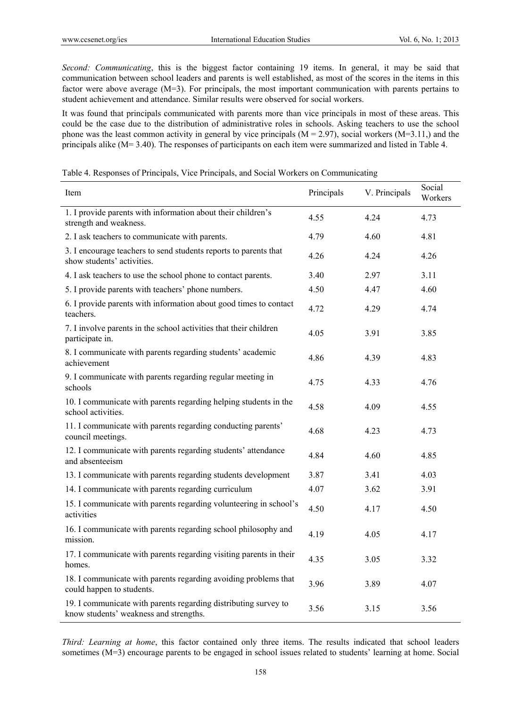*Second: Communicating*, this is the biggest factor containing 19 items. In general, it may be said that communication between school leaders and parents is well established, as most of the scores in the items in this factor were above average (M=3). For principals, the most important communication with parents pertains to student achievement and attendance. Similar results were observed for social workers.

It was found that principals communicated with parents more than vice principals in most of these areas. This could be the case due to the distribution of administrative roles in schools. Asking teachers to use the school phone was the least common activity in general by vice principals  $(M = 2.97)$ , social workers  $(M = 3.11)$ , and the principals alike (M= 3.40). The responses of participants on each item were summarized and listed in Table 4.

| Item                                                                                                      | Principals | V. Principals | Social<br>Workers |
|-----------------------------------------------------------------------------------------------------------|------------|---------------|-------------------|
| 1. I provide parents with information about their children's<br>strength and weakness.                    | 4.55       | 4.24          | 4.73              |
| 2. I ask teachers to communicate with parents.                                                            | 4.79       | 4.60          | 4.81              |
| 3. I encourage teachers to send students reports to parents that<br>show students' activities.            | 4.26       | 4.24          | 4.26              |
| 4. I ask teachers to use the school phone to contact parents.                                             | 3.40       | 2.97          | 3.11              |
| 5. I provide parents with teachers' phone numbers.                                                        | 4.50       | 4.47          | 4.60              |
| 6. I provide parents with information about good times to contact<br>teachers.                            | 4.72       | 4.29          | 4.74              |
| 7. I involve parents in the school activities that their children<br>participate in.                      | 4.05       | 3.91          | 3.85              |
| 8. I communicate with parents regarding students' academic<br>achievement                                 | 4.86       | 4.39          | 4.83              |
| 9. I communicate with parents regarding regular meeting in<br>schools                                     | 4.75       | 4.33          | 4.76              |
| 10. I communicate with parents regarding helping students in the<br>school activities.                    | 4.58       | 4.09          | 4.55              |
| 11. I communicate with parents regarding conducting parents'<br>council meetings.                         | 4.68       | 4.23          | 4.73              |
| 12. I communicate with parents regarding students' attendance<br>and absenteeism                          | 4.84       | 4.60          | 4.85              |
| 13. I communicate with parents regarding students development                                             | 3.87       | 3.41          | 4.03              |
| 14. I communicate with parents regarding curriculum                                                       | 4.07       | 3.62          | 3.91              |
| 15. I communicate with parents regarding volunteering in school's<br>activities                           | 4.50       | 4.17          | 4.50              |
| 16. I communicate with parents regarding school philosophy and<br>mission.                                | 4.19       | 4.05          | 4.17              |
| 17. I communicate with parents regarding visiting parents in their<br>homes.                              | 4.35       | 3.05          | 3.32              |
| 18. I communicate with parents regarding avoiding problems that<br>could happen to students.              | 3.96       | 3.89          | 4.07              |
| 19. I communicate with parents regarding distributing survey to<br>know students' weakness and strengths. | 3.56       | 3.15          | 3.56              |

Table 4. Responses of Principals, Vice Principals, and Social Workers on Communicating

*Third: Learning at home*, this factor contained only three items. The results indicated that school leaders sometimes (M=3) encourage parents to be engaged in school issues related to students' learning at home. Social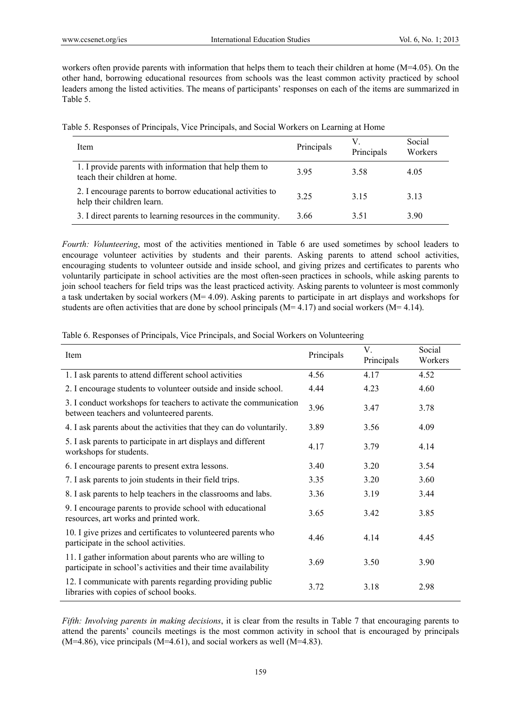workers often provide parents with information that helps them to teach their children at home (M=4.05). On the other hand, borrowing educational resources from schools was the least common activity practiced by school leaders among the listed activities. The means of participants' responses on each of the items are summarized in Table 5.

| Table 5. Responses of Principals, Vice Principals, and Social Workers on Learning at Home |  |
|-------------------------------------------------------------------------------------------|--|
|                                                                                           |  |

| Item                                                                                     | Principals | Principals | Social<br>Workers |
|------------------------------------------------------------------------------------------|------------|------------|-------------------|
| 1. I provide parents with information that help them to<br>teach their children at home. | 3.95       | 3.58       | 4.05              |
| 2. I encourage parents to borrow educational activities to<br>help their children learn. | 3 2 5      | 3 15       | 3 1 3             |
| 3. I direct parents to learning resources in the community.                              | 3.66       | 3.51       | 3.90              |

*Fourth: Volunteering*, most of the activities mentioned in Table 6 are used sometimes by school leaders to encourage volunteer activities by students and their parents. Asking parents to attend school activities, encouraging students to volunteer outside and inside school, and giving prizes and certificates to parents who voluntarily participate in school activities are the most often-seen practices in schools, while asking parents to join school teachers for field trips was the least practiced activity. Asking parents to volunteer is most commonly a task undertaken by social workers (M= 4.09). Asking parents to participate in art displays and workshops for students are often activities that are done by school principals  $(M= 4.17)$  and social workers  $(M= 4.14)$ .

| rable of Responses of Frincipals, Vice Frincipals, and Social Workers on Volumeering                                        |            |                  |                   |  |  |
|-----------------------------------------------------------------------------------------------------------------------------|------------|------------------|-------------------|--|--|
| Item                                                                                                                        | Principals | V.<br>Principals | Social<br>Workers |  |  |
| 1. I ask parents to attend different school activities                                                                      | 4.56       | 4.17             | 4.52              |  |  |
| 2. I encourage students to volunteer outside and inside school.                                                             | 4.44       | 4.23             | 4.60              |  |  |
| 3. I conduct workshops for teachers to activate the communication<br>between teachers and volunteered parents.              | 3.96       | 3.47             | 3.78              |  |  |
| 4. I ask parents about the activities that they can do voluntarily.                                                         | 3.89       | 3.56             | 4.09              |  |  |
| 5. I ask parents to participate in art displays and different<br>workshops for students.                                    | 4.17       | 3.79             | 4.14              |  |  |
| 6. I encourage parents to present extra lessons.                                                                            | 3.40       | 3.20             | 3.54              |  |  |
| 7. I ask parents to join students in their field trips.                                                                     | 3.35       | 3.20             | 3.60              |  |  |
| 8. I ask parents to help teachers in the classrooms and labs.                                                               | 3.36       | 3.19             | 3.44              |  |  |
| 9. I encourage parents to provide school with educational<br>resources, art works and printed work.                         | 3.65       | 3.42             | 3.85              |  |  |
| 10. I give prizes and certificates to volunteered parents who<br>participate in the school activities.                      | 4.46       | 4.14             | 4.45              |  |  |
| 11. I gather information about parents who are willing to<br>participate in school's activities and their time availability | 3.69       | 3.50             | 3.90              |  |  |
| 12. I communicate with parents regarding providing public<br>libraries with copies of school books.                         | 3.72       | 3.18             | 2.98              |  |  |
|                                                                                                                             |            |                  |                   |  |  |

Table 6. Responses of Principals, Vice Principals, and Social Workers on Volunteering

*Fifth: Involving parents in making decisions*, it is clear from the results in Table 7 that encouraging parents to attend the parents' councils meetings is the most common activity in school that is encouraged by principals  $(M=4.86)$ , vice principals  $(M=4.61)$ , and social workers as well  $(M=4.83)$ .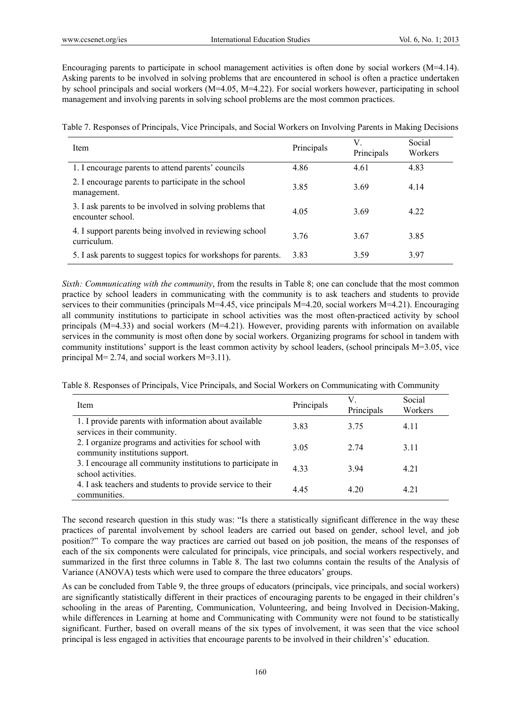Encouraging parents to participate in school management activities is often done by social workers (M=4.14). Asking parents to be involved in solving problems that are encountered in school is often a practice undertaken by school principals and social workers (M=4.05, M=4.22). For social workers however, participating in school management and involving parents in solving school problems are the most common practices.

| Table 7. Responses of Principals, Vice Principals, and Social Workers on Involving Parents in Making Decisions |  |  |
|----------------------------------------------------------------------------------------------------------------|--|--|
|----------------------------------------------------------------------------------------------------------------|--|--|

| Item                                                                          | Principals | V.<br>Principals | Social<br>Workers |
|-------------------------------------------------------------------------------|------------|------------------|-------------------|
| 1. I encourage parents to attend parents' councils                            | 4.86       | 4.61             | 4.83              |
| 2. I encourage parents to participate in the school<br>management.            | 3.85       | 3.69             | 4.14              |
| 3. I ask parents to be involved in solving problems that<br>encounter school. | 4.05       | 3.69             | 4.22              |
| 4. I support parents being involved in reviewing school<br>curriculum.        | 3.76       | 3.67             | 3.85              |
| 5. I ask parents to suggest topics for workshops for parents.                 | 3.83       | 3.59             | 397               |

*Sixth: Communicating with the community*, from the results in Table 8; one can conclude that the most common practice by school leaders in communicating with the community is to ask teachers and students to provide services to their communities (principals M=4.45, vice principals M=4.20, social workers M=4.21). Encouraging all community institutions to participate in school activities was the most often-practiced activity by school principals (M=4.33) and social workers (M=4.21). However, providing parents with information on available services in the community is most often done by social workers. Organizing programs for school in tandem with community institutions' support is the least common activity by school leaders, (school principals M=3.05, vice principal M= 2.74, and social workers M=3.11).

Table 8. Responses of Principals, Vice Principals, and Social Workers on Communicating with Community

| Item                                                                                     | Principals | V<br>Principals | Social<br>Workers |
|------------------------------------------------------------------------------------------|------------|-----------------|-------------------|
| 1. I provide parents with information about available<br>services in their community.    | 3.83       | 3.75            | 4.11              |
| 2. I organize programs and activities for school with<br>community institutions support. | 3.05       | 2.74            | 3.11              |
| 3. I encourage all community institutions to participate in<br>school activities.        | 4.33       | 394             | 4 2 1             |
| 4. I ask teachers and students to provide service to their<br>communities.               | 445        | 4 2 0           | 4 2 1             |

The second research question in this study was: "Is there a statistically significant difference in the way these practices of parental involvement by school leaders are carried out based on gender, school level, and job position?" To compare the way practices are carried out based on job position, the means of the responses of each of the six components were calculated for principals, vice principals, and social workers respectively, and summarized in the first three columns in Table 8. The last two columns contain the results of the Analysis of Variance (ANOVA) tests which were used to compare the three educators' groups.

As can be concluded from Table 9, the three groups of educators (principals, vice principals, and social workers) are significantly statistically different in their practices of encouraging parents to be engaged in their children's schooling in the areas of Parenting, Communication, Volunteering, and being Involved in Decision-Making, while differences in Learning at home and Communicating with Community were not found to be statistically significant. Further, based on overall means of the six types of involvement, it was seen that the vice school principal is less engaged in activities that encourage parents to be involved in their children's' education.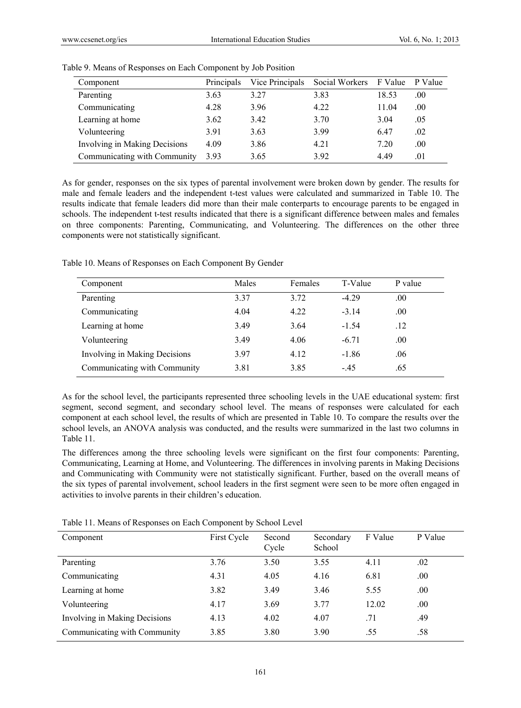| Component                     | Principals | Vice Principals | Social Workers F Value |       | P Value |
|-------------------------------|------------|-----------------|------------------------|-------|---------|
| Parenting                     | 3.63       | 3.27            | 3.83                   | 18.53 | .00.    |
| Communicating                 | 4.28       | 3.96            | 4.22                   | 11 04 | .00.    |
| Learning at home              | 3.62       | 3.42            | 3.70                   | 3.04  | .05     |
| Volunteering                  | 3.91       | 3.63            | 3.99                   | 6.47  | .02     |
| Involving in Making Decisions | 4.09       | 3.86            | 4.21                   | 7.20  | .00     |
| Communicating with Community  | 3.93       | 3.65            | 3.92                   | 4.49  | .01     |

Table 9. Means of Responses on Each Component by Job Position

As for gender, responses on the six types of parental involvement were broken down by gender. The results for male and female leaders and the independent t-test values were calculated and summarized in Table 10. The results indicate that female leaders did more than their male conterparts to encourage parents to be engaged in schools. The independent t-test results indicated that there is a significant difference between males and females on three components: Parenting, Communicating, and Volunteering. The differences on the other three components were not statistically significant.

Table 10. Means of Responses on Each Component By Gender

| Component                     | Males | Females | T-Value | P value |
|-------------------------------|-------|---------|---------|---------|
| Parenting                     | 3.37  | 3.72    | $-4.29$ | .00.    |
| Communicating                 | 4.04  | 4.22    | $-3.14$ | .00     |
| Learning at home              | 3.49  | 3.64    | $-1.54$ | .12     |
| Volunteering                  | 3.49  | 4.06    | $-6.71$ | .00     |
| Involving in Making Decisions | 3.97  | 4.12    | $-1.86$ | .06     |
| Communicating with Community  | 3.81  | 3.85    | $-45$   | .65     |

As for the school level, the participants represented three schooling levels in the UAE educational system: first segment, second segment, and secondary school level. The means of responses were calculated for each component at each school level, the results of which are presented in Table 10. To compare the results over the school levels, an ANOVA analysis was conducted, and the results were summarized in the last two columns in Table 11.

The differences among the three schooling levels were significant on the first four components: Parenting, Communicating, Learning at Home, and Volunteering. The differences in involving parents in Making Decisions and Communicating with Community were not statistically significant. Further, based on the overall means of the six types of parental involvement, school leaders in the first segment were seen to be more often engaged in activities to involve parents in their children's education.

| Component                     | First Cycle | Second<br>Cycle | Secondary<br>School | F Value | P Value |
|-------------------------------|-------------|-----------------|---------------------|---------|---------|
| Parenting                     | 3.76        | 3.50            | 3.55                | 4.11    | .02     |
| Communicating                 | 4.31        | 4.05            | 4.16                | 6.81    | .00.    |
| Learning at home              | 3.82        | 3.49            | 3.46                | 5.55    | .00.    |
| Volunteering                  | 4.17        | 3.69            | 3.77                | 12.02   | .00.    |
| Involving in Making Decisions | 4.13        | 4.02            | 4.07                | .71     | .49     |
| Communicating with Community  | 3.85        | 3.80            | 3.90                | .55     | .58     |

Table 11. Means of Responses on Each Component by School Level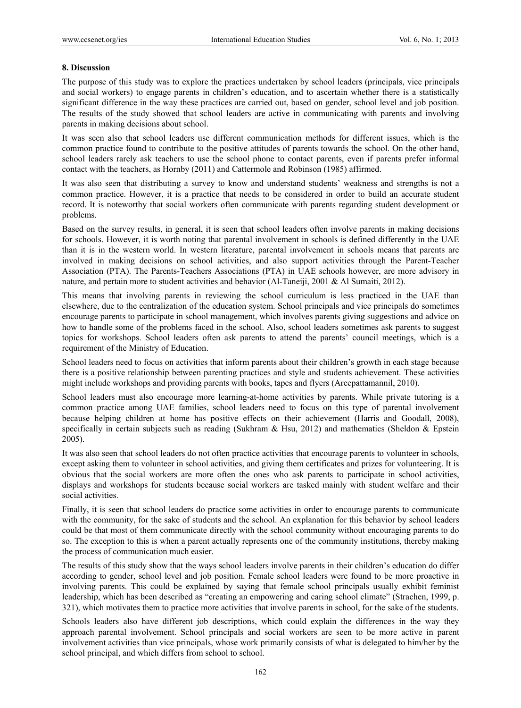#### **8. Discussion**

The purpose of this study was to explore the practices undertaken by school leaders (principals, vice principals and social workers) to engage parents in children's education, and to ascertain whether there is a statistically significant difference in the way these practices are carried out, based on gender, school level and job position. The results of the study showed that school leaders are active in communicating with parents and involving parents in making decisions about school.

It was seen also that school leaders use different communication methods for different issues, which is the common practice found to contribute to the positive attitudes of parents towards the school. On the other hand, school leaders rarely ask teachers to use the school phone to contact parents, even if parents prefer informal contact with the teachers, as Hornby (2011) and Cattermole and Robinson (1985) affirmed.

It was also seen that distributing a survey to know and understand students' weakness and strengths is not a common practice. However, it is a practice that needs to be considered in order to build an accurate student record. It is noteworthy that social workers often communicate with parents regarding student development or problems.

Based on the survey results, in general, it is seen that school leaders often involve parents in making decisions for schools. However, it is worth noting that parental involvement in schools is defined differently in the UAE than it is in the western world. In western literature, parental involvement in schools means that parents are involved in making decisions on school activities, and also support activities through the Parent-Teacher Association (PTA). The Parents-Teachers Associations (PTA) in UAE schools however, are more advisory in nature, and pertain more to student activities and behavior (Al-Taneiji, 2001 & Al Sumaiti, 2012).

This means that involving parents in reviewing the school curriculum is less practiced in the UAE than elsewhere, due to the centralization of the education system. School principals and vice principals do sometimes encourage parents to participate in school management, which involves parents giving suggestions and advice on how to handle some of the problems faced in the school. Also, school leaders sometimes ask parents to suggest topics for workshops. School leaders often ask parents to attend the parents' council meetings, which is a requirement of the Ministry of Education.

School leaders need to focus on activities that inform parents about their children's growth in each stage because there is a positive relationship between parenting practices and style and students achievement. These activities might include workshops and providing parents with books, tapes and flyers (Areepattamannil, 2010).

School leaders must also encourage more learning-at-home activities by parents. While private tutoring is a common practice among UAE families, school leaders need to focus on this type of parental involvement because helping children at home has positive effects on their achievement (Harris and Goodall, 2008), specifically in certain subjects such as reading (Sukhram & Hsu, 2012) and mathematics (Sheldon & Epstein 2005).

It was also seen that school leaders do not often practice activities that encourage parents to volunteer in schools, except asking them to volunteer in school activities, and giving them certificates and prizes for volunteering. It is obvious that the social workers are more often the ones who ask parents to participate in school activities, displays and workshops for students because social workers are tasked mainly with student welfare and their social activities.

Finally, it is seen that school leaders do practice some activities in order to encourage parents to communicate with the community, for the sake of students and the school. An explanation for this behavior by school leaders could be that most of them communicate directly with the school community without encouraging parents to do so. The exception to this is when a parent actually represents one of the community institutions, thereby making the process of communication much easier.

The results of this study show that the ways school leaders involve parents in their children's education do differ according to gender, school level and job position. Female school leaders were found to be more proactive in involving parents. This could be explained by saying that female school principals usually exhibit feminist leadership, which has been described as "creating an empowering and caring school climate" (Strachen, 1999, p. 321), which motivates them to practice more activities that involve parents in school, for the sake of the students.

Schools leaders also have different job descriptions, which could explain the differences in the way they approach parental involvement. School principals and social workers are seen to be more active in parent involvement activities than vice principals, whose work primarily consists of what is delegated to him/her by the school principal, and which differs from school to school.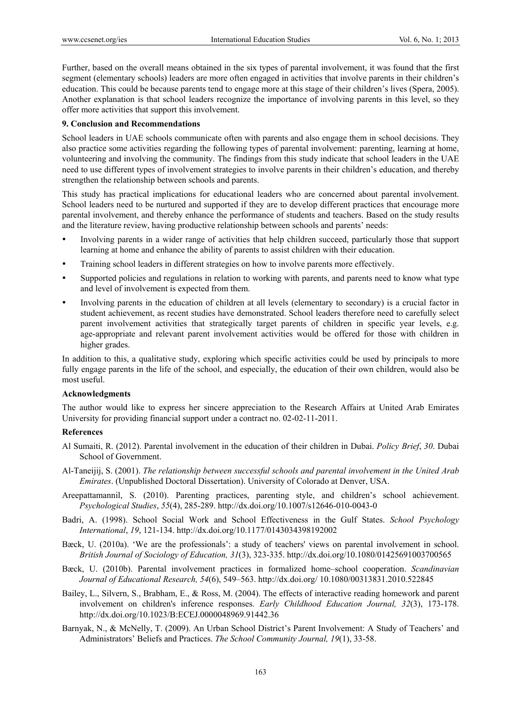Further, based on the overall means obtained in the six types of parental involvement, it was found that the first segment (elementary schools) leaders are more often engaged in activities that involve parents in their children's education. This could be because parents tend to engage more at this stage of their children's lives (Spera, 2005). Another explanation is that school leaders recognize the importance of involving parents in this level, so they offer more activities that support this involvement.

#### **9. Conclusion and Recommendations**

School leaders in UAE schools communicate often with parents and also engage them in school decisions. They also practice some activities regarding the following types of parental involvement: parenting, learning at home, volunteering and involving the community. The findings from this study indicate that school leaders in the UAE need to use different types of involvement strategies to involve parents in their children's education, and thereby strengthen the relationship between schools and parents.

This study has practical implications for educational leaders who are concerned about parental involvement. School leaders need to be nurtured and supported if they are to develop different practices that encourage more parental involvement, and thereby enhance the performance of students and teachers. Based on the study results and the literature review, having productive relationship between schools and parents' needs:

- Involving parents in a wider range of activities that help children succeed, particularly those that support learning at home and enhance the ability of parents to assist children with their education.
- Training school leaders in different strategies on how to involve parents more effectively.
- Supported policies and regulations in relation to working with parents, and parents need to know what type and level of involvement is expected from them.
- Involving parents in the education of children at all levels (elementary to secondary) is a crucial factor in student achievement, as recent studies have demonstrated. School leaders therefore need to carefully select parent involvement activities that strategically target parents of children in specific year levels, e.g. age-appropriate and relevant parent involvement activities would be offered for those with children in higher grades.

In addition to this, a qualitative study, exploring which specific activities could be used by principals to more fully engage parents in the life of the school, and especially, the education of their own children, would also be most useful.

#### **Acknowledgments**

The author would like to express her sincere appreciation to the Research Affairs at United Arab Emirates University for providing financial support under a contract no. 02-02-11-2011.

#### **References**

- Al Sumaiti, R. (2012). Parental involvement in the education of their children in Dubai. *Policy Brief*, *30*. Dubai School of Government.
- Al-Taneijij, S. (2001). *The relationship between successful schools and parental involvement in the United Arab Emirates*. (Unpublished Doctoral Dissertation). University of Colorado at Denver, USA.
- Areepattamannil, S. (2010). Parenting practices, parenting style, and children's school achievement. *Psychological Studies*, *55*(4), 285-289. http://dx.doi.org/10.1007/s12646-010-0043-0
- Badri, A. (1998). School Social Work and School Effectiveness in the Gulf States. *School Psychology International*, *19*, 121-134. http://dx.doi.org/10.1177/0143034398192002
- Bæck, U. (2010a). 'We are the professionals': a study of teachers' views on parental involvement in school. *British Journal of Sociology of Education, 31*(3), 323-335. http://dx.doi.org/10.1080/01425691003700565
- Bæck, U. (2010b). Parental involvement practices in formalized home–school cooperation. *Scandinavian Journal of Educational Research, 54*(6), 549–563. http://dx.doi.org/ 10.1080/00313831.2010.522845
- Bailey, L., Silvern, S., Brabham, E., & Ross, M. (2004). The effects of interactive reading homework and parent involvement on children's inference responses. *Early Childhood Education Journal, 32*(3), 173-178. http://dx.doi.org/10.1023/B:ECEJ.0000048969.91442.36
- Barnyak, N., & McNelly, T. (2009). An Urban School District's Parent Involvement: A Study of Teachers' and Administrators' Beliefs and Practices. *The School Community Journal, 19*(1), 33-58.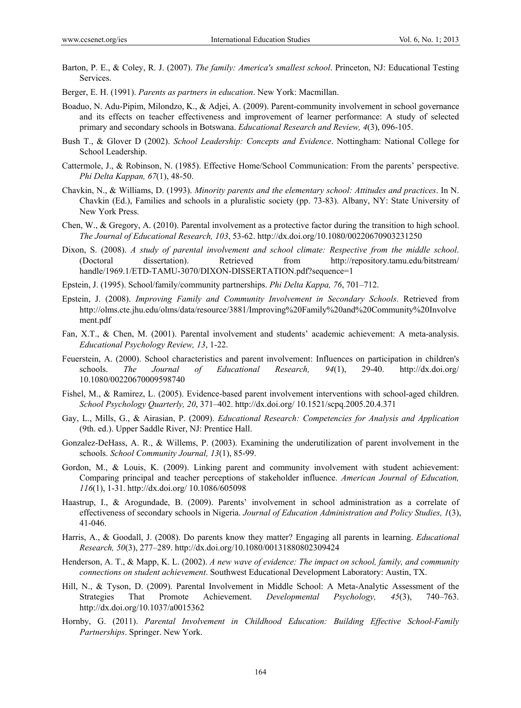- Barton, P. E., & Coley, R. J. (2007). *The family: America's smallest school*. Princeton, NJ: Educational Testing **Services**.
- Berger, E. H. (1991). *Parents as partners in education*. New York: Macmillan.
- Boaduo, N. Adu-Pipim, Milondzo, K., & Adjei, A. (2009). Parent-community involvement in school governance and its effects on teacher effectiveness and improvement of learner performance: A study of selected primary and secondary schools in Botswana. *Educational Research and Review, 4*(3), 096-105.
- Bush T., & Glover D (2002). *School Leadership: Concepts and Evidence*. Nottingham: National College for School Leadership.
- Cattermole, J., & Robinson, N. (1985). Effective Home/School Communication: From the parents' perspective. *Phi Delta Kappan, 67*(1), 48-50.
- Chavkin, N., & Williams, D. (1993). *Minority parents and the elementary school: Attitudes and practices*. In N. Chavkin (Ed.), Families and schools in a pluralistic society (pp. 73-83). Albany, NY: State University of New York Press.
- Chen, W., & Gregory, A. (2010). Parental involvement as a protective factor during the transition to high school. *The Journal of Educational Research, 103*, 53-62. http://dx.doi.org/10.1080/00220670903231250
- Dixon, S. (2008). *A study of parental involvement and school climate: Respective from the middle school*. (Doctoral dissertation). Retrieved from http://repository.tamu.edu/bitstream/ handle/1969.1/ETD-TAMU-3070/DIXON-DISSERTATION.pdf?sequence=1
- Epstein, J. (1995). School/family/community partnerships. *Phi Delta Kappa, 76*, 701–712.
- Epstein, J. (2008). *Improving Family and Community Involvement in Secondary Schools*. Retrieved from http://olms.cte.jhu.edu/olms/data/resource/3881/Improving%20Family%20and%20Community%20Involve ment.pdf
- Fan, X.T., & Chen, M. (2001). Parental involvement and students' academic achievement: A meta-analysis. *Educational Psychology Review, 13*, 1-22.
- Feuerstein, A. (2000). School characteristics and parent involvement: Influences on participation in children's schools. *The Journal of Educational Research, 94*(1), 29-40. http://dx.doi.org/ 10.1080/00220670009598740
- Fishel, M., & Ramirez, L. (2005). Evidence-based parent involvement interventions with school-aged children. *School Psychology Quarterly, 20*, 371–402. http://dx.doi.org/ 10.1521/scpq.2005.20.4.371
- Gay, L., Mills, G., & Airasian, P. (2009). *Educational Research: Competencies for Analysis and Application* (9th. ed.). Upper Saddle River, NJ: Prentice Hall.
- Gonzalez-DeHass, A. R., & Willems, P. (2003). Examining the underutilization of parent involvement in the schools. *School Community Journal, 13*(1), 85-99.
- Gordon, M., & Louis, K. (2009). Linking parent and community involvement with student achievement: Comparing principal and teacher perceptions of stakeholder influence. *American Journal of Education, 116*(1), 1-31. http://dx.doi.org/ 10.1086/605098
- Haastrup, I., & Arogundade, B. (2009). Parents' involvement in school administration as a correlate of effectiveness of secondary schools in Nigeria. *Journal of Education Administration and Policy Studies, 1*(3), 41-046.
- Harris, A., & Goodall, J. (2008). Do parents know they matter? Engaging all parents in learning. *Educational Research, 50*(3), 277–289. http://dx.doi.org/10.1080/00131880802309424
- Henderson, A. T., & Mapp, K. L. (2002). *A new wave of evidence: The impact on school, family, and community connections on student achievement*. Southwest Educational Development Laboratory: Austin, TX.
- Hill, N., & Tyson, D. (2009). Parental Involvement in Middle School: A Meta-Analytic Assessment of the Strategies That Promote Achievement. *Developmental Psychology, 45*(3), 740–763. http://dx.doi.org/10.1037/a0015362
- Hornby, G. (2011). *Parental Involvement in Childhood Education: Building Effective School-Family Partnerships*. Springer. New York.